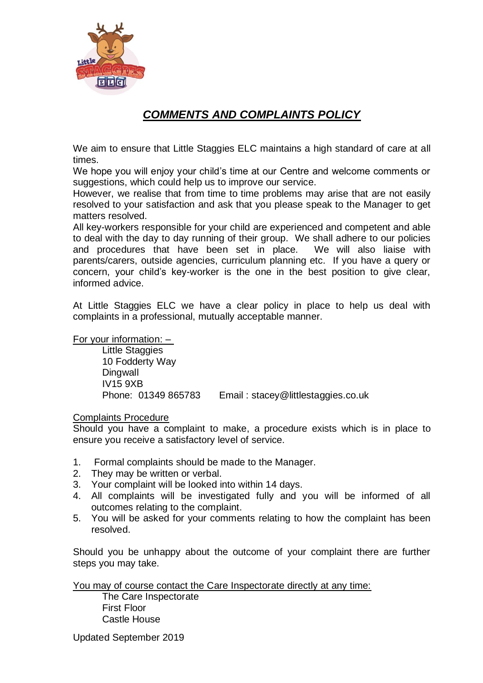

## *COMMENTS AND COMPLAINTS POLICY*

We aim to ensure that Little Staggies ELC maintains a high standard of care at all times.

We hope you will enjoy your child's time at our Centre and welcome comments or suggestions, which could help us to improve our service.

However, we realise that from time to time problems may arise that are not easily resolved to your satisfaction and ask that you please speak to the Manager to get matters resolved.

All key-workers responsible for your child are experienced and competent and able to deal with the day to day running of their group. We shall adhere to our policies and procedures that have been set in place. We will also liaise with parents/carers, outside agencies, curriculum planning etc. If you have a query or concern, your child's key-worker is the one in the best position to give clear, informed advice.

At Little Staggies ELC we have a clear policy in place to help us deal with complaints in a professional, mutually acceptable manner.

For your information: –

Little Staggies 10 Fodderty Way Dingwall IV15 9XB Phone: 01349 865783 Email : stacey@littlestaggies.co.uk

## Complaints Procedure

Should you have a complaint to make, a procedure exists which is in place to ensure you receive a satisfactory level of service.

- 1. Formal complaints should be made to the Manager.
- 2. They may be written or verbal.
- 3. Your complaint will be looked into within 14 days.
- 4. All complaints will be investigated fully and you will be informed of all outcomes relating to the complaint.
- 5. You will be asked for your comments relating to how the complaint has been resolved.

Should you be unhappy about the outcome of your complaint there are further steps you may take.

You may of course contact the Care Inspectorate directly at any time:

The Care Inspectorate First Floor Castle House

Updated September 2019